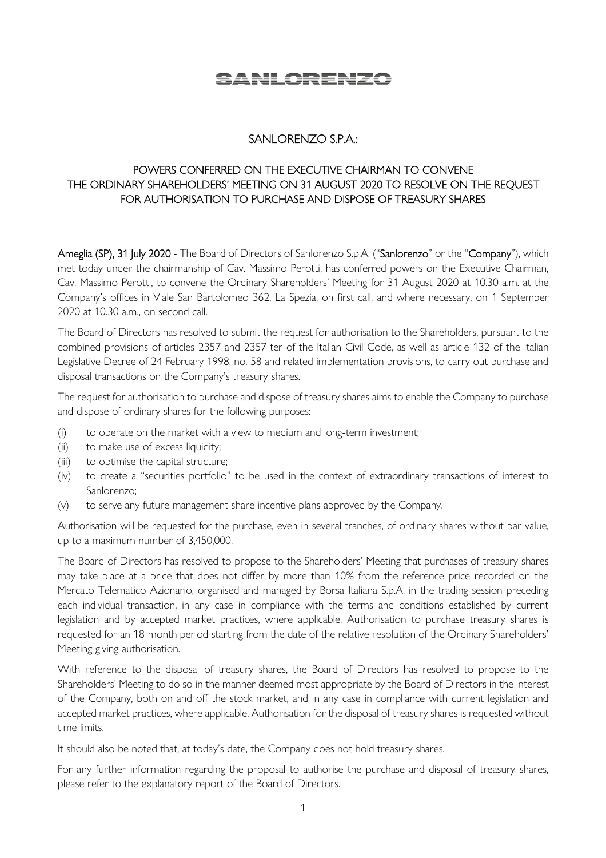## SANLORENZO

## SANLORENZO S.P.A.:

## POWERS CONFERRED ON THE EXECUTIVE CHAIRMAN TO CONVENE THE ORDINARY SHAREHOLDERS' MEETING ON 31 AUGUST 2020 TO RESOLVE ON THE REQUEST FOR AUTHORISATION TO PURCHASE AND DISPOSE OF TREASURY SHARES

Ameglia (SP), 31 July 2020 - The Board of Directors of Sanlorenzo S.p.A. ("Sanlorenzo" or the "Company"), which met today under the chairmanship of Cav. Massimo Perotti, has conferred powers on the Executive Chairman, Cav. Massimo Perotti, to convene the Ordinary Shareholders' Meeting for 31 August 2020 at 10.30 a.m. at the Company's offices in Viale San Bartolomeo 362, La Spezia, on first call, and where necessary, on 1 September 2020 at 10.30 a.m., on second call.

The Board of Directors has resolved to submit the request for authorisation to the Shareholders, pursuant to the combined provisions of articles 2357 and 2357-ter of the Italian Civil Code, as well as article 132 of the Italian Legislative Decree of 24 February 1998, no. 58 and related implementation provisions, to carry out purchase and disposal transactions on the Company's treasury shares.

The request for authorisation to purchase and dispose of treasury shares aims to enable the Company to purchase and dispose of ordinary shares for the following purposes:

- (i) to operate on the market with a view to medium and long-term investment;
- (ii) to make use of excess liquidity;
- (iii) to optimise the capital structure;
- (iv) to create a "securities portfolio" to be used in the context of extraordinary transactions of interest to Sanlorenzo;
- (v) to serve any future management share incentive plans approved by the Company.

Authorisation will be requested for the purchase, even in several tranches, of ordinary shares without par value, up to a maximum number of 3,450,000.

The Board of Directors has resolved to propose to the Shareholders' Meeting that purchases of treasury shares may take place at a price that does not differ by more than 10% from the reference price recorded on the Mercato Telematico Azionario, organised and managed by Borsa Italiana S.p.A. in the trading session preceding each individual transaction, in any case in compliance with the terms and conditions established by current legislation and by accepted market practices, where applicable. Authorisation to purchase treasury shares is requested for an 18-month period starting from the date of the relative resolution of the Ordinary Shareholders' Meeting giving authorisation.

With reference to the disposal of treasury shares, the Board of Directors has resolved to propose to the Shareholders' Meeting to do so in the manner deemed most appropriate by the Board of Directors in the interest of the Company, both on and off the stock market, and in any case in compliance with current legislation and accepted market practices, where applicable. Authorisation for the disposal of treasury shares is requested without time limits.

It should also be noted that, at today's date, the Company does not hold treasury shares.

For any further information regarding the proposal to authorise the purchase and disposal of treasury shares, please refer to the explanatory report of the Board of Directors.